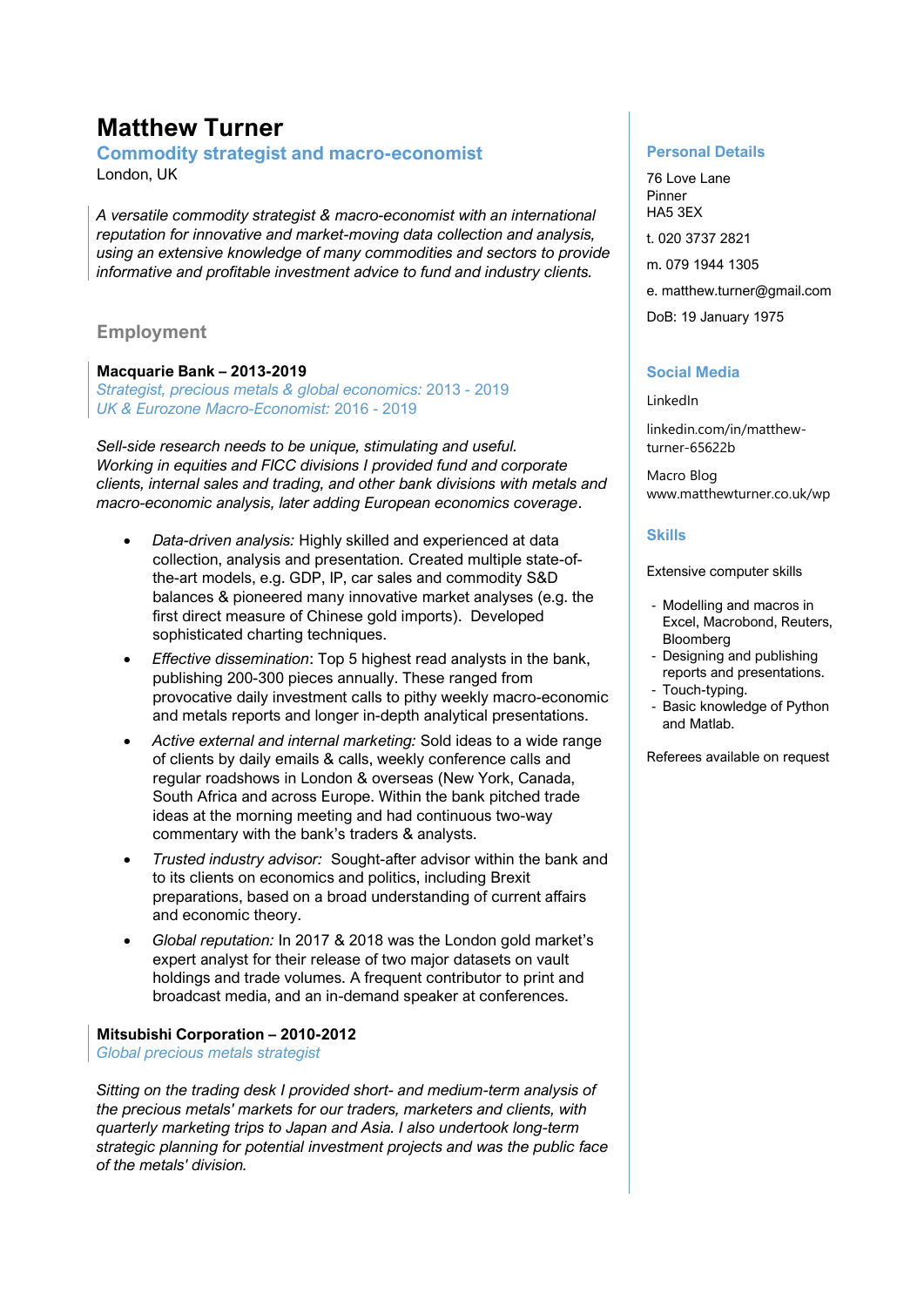# **Matthew Turner**

### **Commodity strategist and macro-economist** London, UK

*A versatile commodity strategist & macro-economist with an international reputation for innovative and market-moving data collection and analysis, using an extensive knowledge of many commodities and sectors to provide informative and profitable investment advice to fund and industry clients.*

## **Employment**

## **Macquarie Bank – 2013-2019**

*Strategist, precious metals & global economics:* 2013 - 2019 *UK & Eurozone Macro-Economist:* 2016 - 2019

*Sell-side research needs to be unique, stimulating and useful. Working in equities and FICC divisions I provided fund and corporate clients, internal sales and trading, and other bank divisions with metals and macro-economic analysis, later adding European economics coverage*.

- *Data-driven analysis:* Highly skilled and experienced at data collection, analysis and presentation. Created multiple state-ofthe-art models, e.g. GDP, IP, car sales and commodity S&D balances & pioneered many innovative market analyses (e.g. the first direct measure of Chinese gold imports). Developed sophisticated charting techniques.
- *Effective dissemination*: Top 5 highest read analysts in the bank, publishing 200-300 pieces annually. These ranged from provocative daily investment calls to pithy weekly macro-economic and metals reports and longer in-depth analytical presentations.
- *Active external and internal marketing:* Sold ideas to a wide range of clients by daily emails & calls, weekly conference calls and regular roadshows in London & overseas (New York, Canada, South Africa and across Europe. Within the bank pitched trade ideas at the morning meeting and had continuous two-way commentary with the bank's traders & analysts.
- *Trusted industry advisor:* Sought-after advisor within the bank and to its clients on economics and politics, including Brexit preparations, based on a broad understanding of current affairs and economic theory.
- *Global reputation:* In 2017 & 2018 was the London gold market's expert analyst for their release of two major datasets on vault holdings and trade volumes. A frequent contributor to print and broadcast media, and an in-demand speaker at conferences.

#### **Mitsubishi Corporation – 2010-2012**

*Global precious metals strategist*

*Sitting on the trading desk I provided short- and medium-term analysis of the precious metals' markets for our traders, marketers and clients, with quarterly marketing trips to Japan and Asia. I also undertook long-term strategic planning for potential investment projects and was the public face of the metals' division.*

#### **Personal Details**

76 Love Lane Pinner HA5 3EX t. 020 3737 2821 m. 079 1944 1305 e. matthew.turner@gmail.com DoB: 19 January 1975

## **Social Media**

LinkedIn

linkedin.com/in/matthewturner-65622b

Macro Blog www.matthewturner.co.uk/wp

#### **Skills**

Extensive computer skills

- Modelling and macros in Excel, Macrobond, Reuters, Bloomberg
- Designing and publishing reports and presentations.
- Touch-typing.
- Basic knowledge of Python and Matlab.

Referees available on request